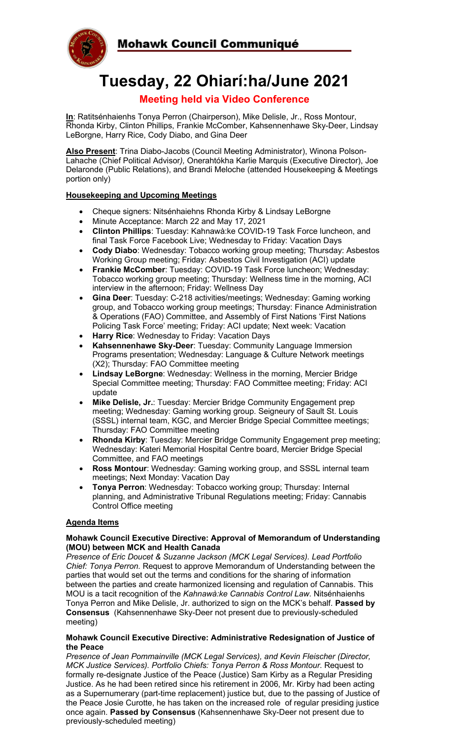



# **Tuesday, 22 Ohiarí:ha/June 2021**

# **Meeting held via Video Conference**

**In**: Ratitsénhaienhs Tonya Perron (Chairperson), Mike Delisle, Jr., Ross Montour, Rhonda Kirby, Clinton Phillips, Frankie McComber, Kahsennenhawe Sky-Deer, Lindsay LeBorgne, Harry Rice, Cody Diabo, and Gina Deer

**Also Present**: Trina Diabo-Jacobs (Council Meeting Administrator), Winona Polson-Lahache (Chief Political Advisor*),* Onerahtókha Karlie Marquis (Executive Director), Joe Delaronde (Public Relations), and Brandi Meloche (attended Housekeeping & Meetings portion only)

## **Housekeeping and Upcoming Meetings**

- Cheque signers: Nitsénhaiehns Rhonda Kirby & Lindsay LeBorgne
- Minute Acceptance: March 22 and May 17, 2021
- **Clinton Phillips**: Tuesday: Kahnawà:ke COVID-19 Task Force luncheon, and final Task Force Facebook Live; Wednesday to Friday: Vacation Days
- **Cody Diabo**: Wednesday: Tobacco working group meeting; Thursday: Asbestos Working Group meeting; Friday: Asbestos Civil Investigation (ACI) update
- **Frankie McComber**: Tuesday: COVID-19 Task Force luncheon; Wednesday: Tobacco working group meeting; Thursday: Wellness time in the morning, ACI interview in the afternoon; Friday: Wellness Day
- **Gina Deer**: Tuesday: C-218 activities/meetings; Wednesday: Gaming working group, and Tobacco working group meetings; Thursday: Finance Administration & Operations (FAO) Committee, and Assembly of First Nations 'First Nations Policing Task Force' meeting; Friday: ACI update; Next week: Vacation
- **Harry Rice**: Wednesday to Friday: Vacation Days
- **Kahsennenhawe Sky-Deer**: Tuesday: Community Language Immersion Programs presentation; Wednesday: Language & Culture Network meetings (X2); Thursday: FAO Committee meeting
- **Lindsay LeBorgne**: Wednesday: Wellness in the morning, Mercier Bridge Special Committee meeting; Thursday: FAO Committee meeting; Friday: ACI update
- **Mike Delisle, Jr.**: Tuesday: Mercier Bridge Community Engagement prep meeting; Wednesday: Gaming working group. Seigneury of Sault St. Louis (SSSL) internal team, KGC, and Mercier Bridge Special Committee meetings; Thursday: FAO Committee meeting
- **Rhonda Kirby**: Tuesday: Mercier Bridge Community Engagement prep meeting; Wednesday: Kateri Memorial Hospital Centre board, Mercier Bridge Special Committee, and FAO meetings
- **Ross Montour**: Wednesday: Gaming working group, and SSSL internal team meetings; Next Monday: Vacation Day
- **Tonya Perron**: Wednesday: Tobacco working group; Thursday: Internal planning, and Administrative Tribunal Regulations meeting; Friday: Cannabis Control Office meeting

#### **Agenda Items**

#### **Mohawk Council Executive Directive: Approval of Memorandum of Understanding (MOU) between MCK and Health Canada**

*Presence of Eric Doucet & Suzanne Jackson (MCK Legal Services). Lead Portfolio Chief: Tonya Perron.* Request to approve Memorandum of Understanding between the parties that would set out the terms and conditions for the sharing of information between the parties and create harmonized licensing and regulation of Cannabis. This MOU is a tacit recognition of the *Kahnawà:ke Cannabis Control Law*. Nitsénhaienhs Tonya Perron and Mike Delisle, Jr. authorized to sign on the MCK's behalf. **Passed by Consensus** (Kahsennenhawe Sky-Deer not present due to previously-scheduled meeting)

#### **Mohawk Council Executive Directive: Administrative Redesignation of Justice of the Peace**

*Presence of Jean Pommainville (MCK Legal Services), and Kevin Fleischer (Director, MCK Justice Services). Portfolio Chiefs: Tonya Perron & Ross Montour*. Request to formally re-designate Justice of the Peace (Justice) Sam Kirby as a Regular Presiding Justice. As he had been retired since his retirement in 2006, Mr. Kirby had been acting as a Supernumerary (part-time replacement) justice but, due to the passing of Justice of the Peace Josie Curotte, he has taken on the increased role of regular presiding justice once again. **Passed by Consensus** (Kahsennenhawe Sky-Deer not present due to previously-scheduled meeting)